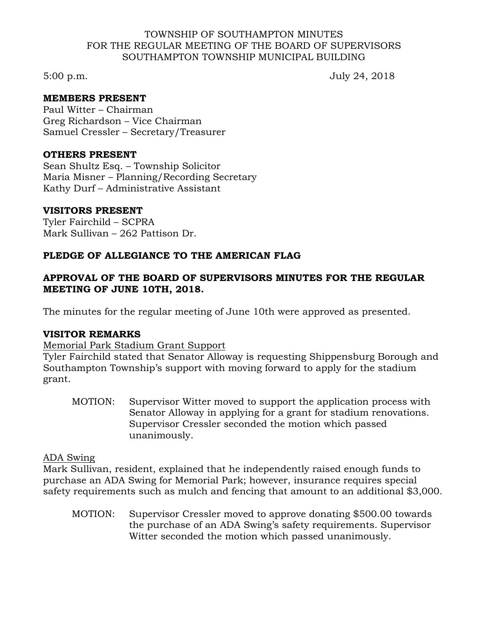#### TOWNSHIP OF SOUTHAMPTON MINUTES FOR THE REGULAR MEETING OF THE BOARD OF SUPERVISORS SOUTHAMPTON TOWNSHIP MUNICIPAL BUILDING

5:00 p.m. July 24, 2018

## **MEMBERS PRESENT**

Paul Witter – Chairman Greg Richardson – Vice Chairman Samuel Cressler – Secretary/Treasurer

#### **OTHERS PRESENT**

Sean Shultz Esq. – Township Solicitor Maria Misner – Planning/Recording Secretary Kathy Durf – Administrative Assistant

## **VISITORS PRESENT**

Tyler Fairchild – SCPRA Mark Sullivan – 262 Pattison Dr.

## **PLEDGE OF ALLEGIANCE TO THE AMERICAN FLAG**

# **APPROVAL OF THE BOARD OF SUPERVISORS MINUTES FOR THE REGULAR MEETING OF JUNE 10TH, 2018.**

The minutes for the regular meeting of June 10th were approved as presented.

## **VISITOR REMARKS**

## Memorial Park Stadium Grant Support

Tyler Fairchild stated that Senator Alloway is requesting Shippensburg Borough and Southampton Township's support with moving forward to apply for the stadium grant.

MOTION: Supervisor Witter moved to support the application process with Senator Alloway in applying for a grant for stadium renovations. Supervisor Cressler seconded the motion which passed unanimously.

## ADA Swing

Mark Sullivan, resident, explained that he independently raised enough funds to purchase an ADA Swing for Memorial Park; however, insurance requires special safety requirements such as mulch and fencing that amount to an additional \$3,000.

MOTION: Supervisor Cressler moved to approve donating \$500.00 towards the purchase of an ADA Swing's safety requirements. Supervisor Witter seconded the motion which passed unanimously.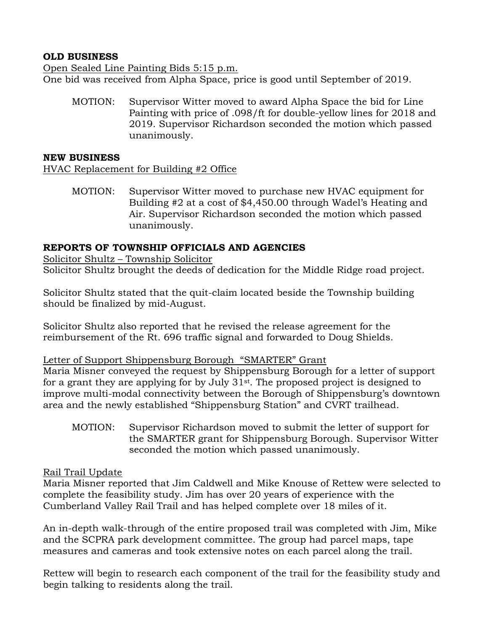# **OLD BUSINESS**

Open Sealed Line Painting Bids 5:15 p.m. One bid was received from Alpha Space, price is good until September of 2019.

MOTION: Supervisor Witter moved to award Alpha Space the bid for Line Painting with price of .098/ft for double-yellow lines for 2018 and 2019. Supervisor Richardson seconded the motion which passed unanimously.

#### **NEW BUSINESS**

HVAC Replacement for Building #2 Office

MOTION: Supervisor Witter moved to purchase new HVAC equipment for Building #2 at a cost of \$4,450.00 through Wadel's Heating and Air. Supervisor Richardson seconded the motion which passed unanimously.

# **REPORTS OF TOWNSHIP OFFICIALS AND AGENCIES**

Solicitor Shultz – Township Solicitor Solicitor Shultz brought the deeds of dedication for the Middle Ridge road project.

Solicitor Shultz stated that the quit-claim located beside the Township building should be finalized by mid-August.

Solicitor Shultz also reported that he revised the release agreement for the reimbursement of the Rt. 696 traffic signal and forwarded to Doug Shields.

## Letter of Support Shippensburg Borough "SMARTER" Grant

Maria Misner conveyed the request by Shippensburg Borough for a letter of support for a grant they are applying for by July 31st. The proposed project is designed to improve multi-modal connectivity between the Borough of Shippensburg's downtown area and the newly established "Shippensburg Station" and CVRT trailhead.

MOTION: Supervisor Richardson moved to submit the letter of support for the SMARTER grant for Shippensburg Borough. Supervisor Witter seconded the motion which passed unanimously.

## Rail Trail Update

Maria Misner reported that Jim Caldwell and Mike Knouse of Rettew were selected to complete the feasibility study. Jim has over 20 years of experience with the Cumberland Valley Rail Trail and has helped complete over 18 miles of it.

An in-depth walk-through of the entire proposed trail was completed with Jim, Mike and the SCPRA park development committee. The group had parcel maps, tape measures and cameras and took extensive notes on each parcel along the trail.

Rettew will begin to research each component of the trail for the feasibility study and begin talking to residents along the trail.